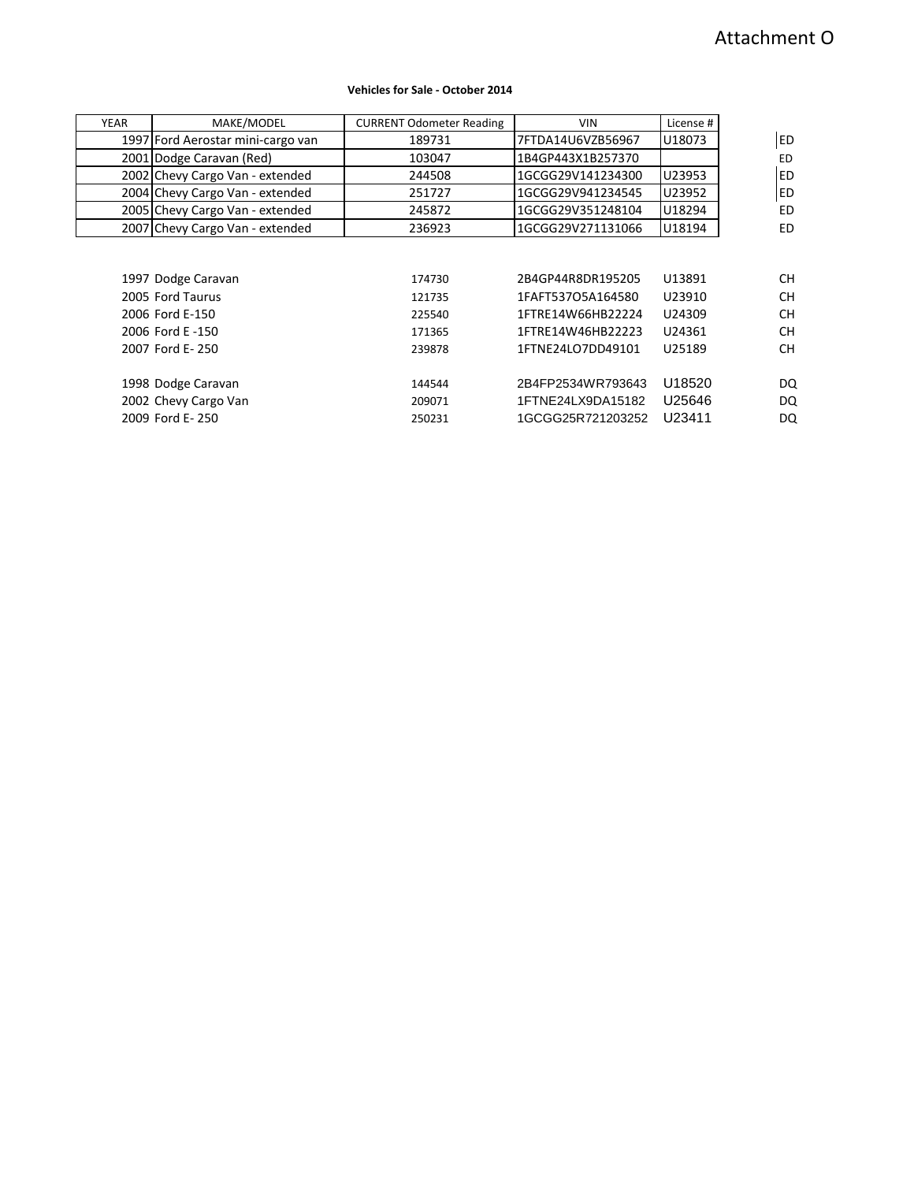## **Vehicles for Sale - October 2014**

| <b>YEAR</b> | MAKE/MODEL                        | <b>CURRENT Odometer Reading</b> | <b>VIN</b>        | License # |           |
|-------------|-----------------------------------|---------------------------------|-------------------|-----------|-----------|
|             | 1997 Ford Aerostar mini-cargo van | 189731                          | 7FTDA14U6VZB56967 | U18073    | <b>ED</b> |
|             | 2001 Dodge Caravan (Red)          | 103047                          | 1B4GP443X1B257370 |           | ED        |
|             | 2002 Chevy Cargo Van - extended   | 244508                          | 1GCGG29V141234300 | U23953    | <b>ED</b> |
|             | 2004 Chevy Cargo Van - extended   | 251727                          | 1GCGG29V941234545 | U23952    | ED        |
|             | 2005 Chevy Cargo Van - extended   | 245872                          | 1GCGG29V351248104 | U18294    | <b>ED</b> |
|             | 2007 Chevy Cargo Van - extended   | 236923                          | 1GCGG29V271131066 | U18194    | ED        |
|             |                                   |                                 |                   |           |           |
|             |                                   |                                 |                   |           |           |
|             | 1997 Dodge Caravan                | 174730                          | 2B4GP44R8DR195205 | U13891    | CН        |
|             | 2005 Ford Taurus                  | 121735                          | 1FAFT537O5A164580 | U23910    | <b>CH</b> |
|             | 2006 Ford E-150                   | 225540                          | 1FTRE14W66HB22224 | U24309    | <b>CH</b> |
|             | 2006 Ford E -150                  | 171365                          | 1FTRE14W46HB22223 | U24361    | <b>CH</b> |
|             | 2007 Ford E-250                   | 239878                          | 1FTNE24LO7DD49101 | U25189    | <b>CH</b> |
|             |                                   |                                 |                   |           |           |
|             | 1998 Dodge Caravan                | 144544                          | 2B4FP2534WR793643 | U18520    | DQ        |
|             | 2002 Chevy Cargo Van              | 209071                          | 1FTNE24LX9DA15182 | U25646    | DQ        |
|             | 2009 Ford E-250                   | 250231                          | 1GCGG25R721203252 | U23411    | DQ        |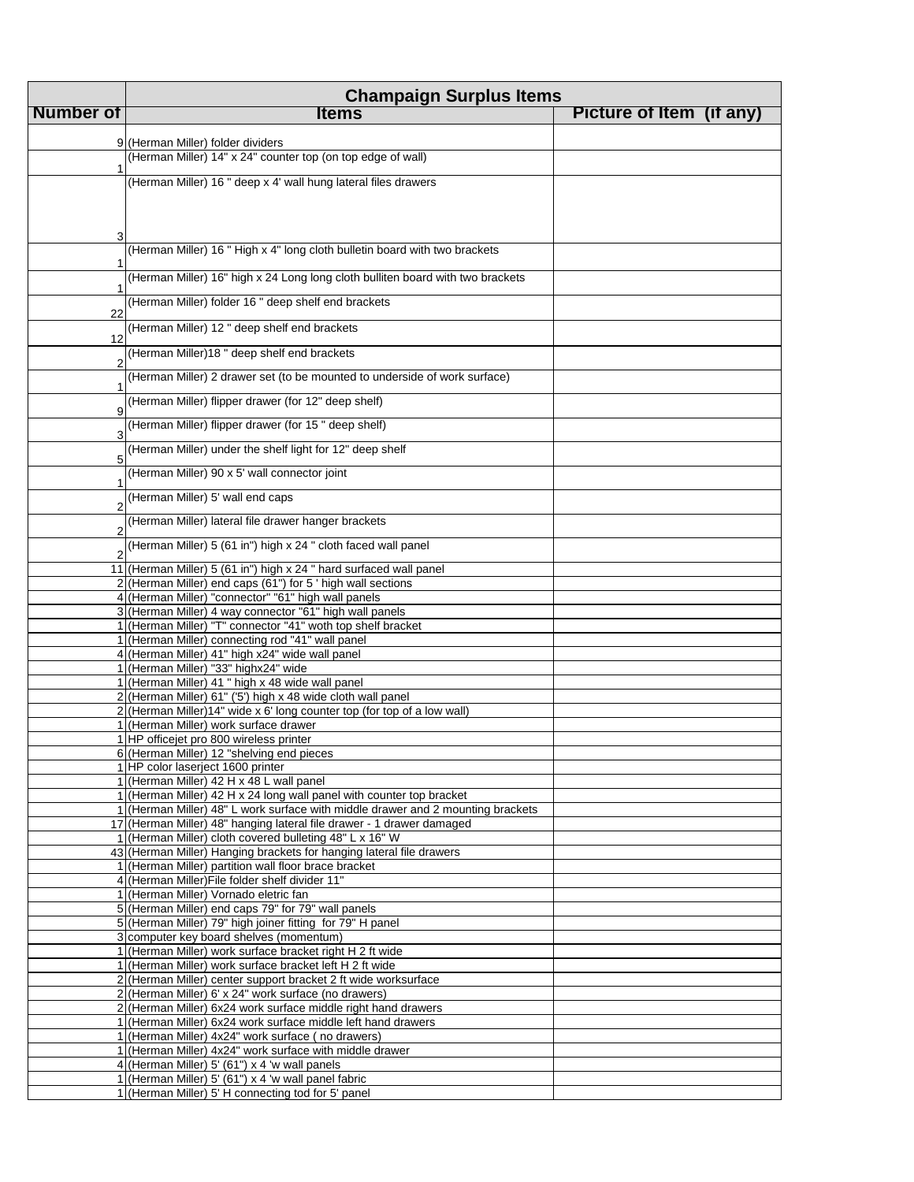|           | <b>Champaign Surplus Items</b>                                                                                               |                          |  |
|-----------|------------------------------------------------------------------------------------------------------------------------------|--------------------------|--|
| Number of | <b>Items</b>                                                                                                                 | Picture of Item (if any) |  |
|           |                                                                                                                              |                          |  |
|           | 9 (Herman Miller) folder dividers<br>(Herman Miller) 14" x 24" counter top (on top edge of wall)                             |                          |  |
|           |                                                                                                                              |                          |  |
|           | (Herman Miller) 16 " deep x 4' wall hung lateral files drawers                                                               |                          |  |
|           |                                                                                                                              |                          |  |
| 3         |                                                                                                                              |                          |  |
|           | (Herman Miller) 16 " High x 4" long cloth bulletin board with two brackets                                                   |                          |  |
|           | (Herman Miller) 16" high x 24 Long long cloth bulliten board with two brackets                                               |                          |  |
|           | (Herman Miller) folder 16 " deep shelf end brackets                                                                          |                          |  |
| 22        | (Herman Miller) 12 " deep shelf end brackets                                                                                 |                          |  |
| 12        | (Herman Miller)18 " deep shelf end brackets                                                                                  |                          |  |
| 2         |                                                                                                                              |                          |  |
|           | (Herman Miller) 2 drawer set (to be mounted to underside of work surface)                                                    |                          |  |
| 9         | (Herman Miller) flipper drawer (for 12" deep shelf)                                                                          |                          |  |
| 3         | (Herman Miller) flipper drawer (for 15" deep shelf)                                                                          |                          |  |
| 5         | (Herman Miller) under the shelf light for 12" deep shelf                                                                     |                          |  |
|           | (Herman Miller) 90 x 5' wall connector joint                                                                                 |                          |  |
| 2         | (Herman Miller) 5' wall end caps                                                                                             |                          |  |
|           | (Herman Miller) lateral file drawer hanger brackets                                                                          |                          |  |
|           | (Herman Miller) 5 (61 in") high x 24 " cloth faced wall panel                                                                |                          |  |
|           | 11 (Herman Miller) 5 (61 in") high x 24 " hard surfaced wall panel                                                           |                          |  |
|           | 2 (Herman Miller) end caps (61") for 5 ' high wall sections                                                                  |                          |  |
|           | 4 (Herman Miller) "connector" "61" high wall panels<br>3 (Herman Miller) 4 way connector "61" high wall panels               |                          |  |
|           | 1 (Herman Miller) "T" connector "41" woth top shelf bracket                                                                  |                          |  |
|           | 1 (Herman Miller) connecting rod "41" wall panel                                                                             |                          |  |
|           | 4 (Herman Miller) 41" high x24" wide wall panel<br>1 (Herman Miller) "33" highx24" wide                                      |                          |  |
|           | 1 (Herman Miller) 41 " high x 48 wide wall panel                                                                             |                          |  |
|           | 2 (Herman Miller) 61" ('5') high x 48 wide cloth wall panel                                                                  |                          |  |
|           | 2 (Herman Miller) 14" wide x 6' long counter top (for top of a low wall)                                                     |                          |  |
|           | 1 (Herman Miller) work surface drawer<br>1 HP officejet pro 800 wireless printer                                             |                          |  |
|           | 6 (Herman Miller) 12 "shelving end pieces                                                                                    |                          |  |
|           | 1 HP color laserject 1600 printer                                                                                            |                          |  |
|           | 1 (Herman Miller) 42 H x 48 L wall panel<br>1 (Herman Miller) 42 H x 24 long wall panel with counter top bracket             |                          |  |
|           | 1 (Herman Miller) 48" L work surface with middle drawer and 2 mounting brackets                                              |                          |  |
|           | 17 (Herman Miller) 48" hanging lateral file drawer - 1 drawer damaged                                                        |                          |  |
|           | 1 (Herman Miller) cloth covered bulleting 48" L x 16" W                                                                      |                          |  |
|           | 43 (Herman Miller) Hanging brackets for hanging lateral file drawers<br>1 (Herman Miller) partition wall floor brace bracket |                          |  |
|           | 4 (Herman Miller) File folder shelf divider 11"                                                                              |                          |  |
|           | 1 (Herman Miller) Vornado eletric fan                                                                                        |                          |  |
|           | 5 (Herman Miller) end caps 79" for 79" wall panels                                                                           |                          |  |
|           | 5 (Herman Miller) 79" high joiner fitting for 79" H panel<br>3 computer key board shelves (momentum)                         |                          |  |
|           | 1 (Herman Miller) work surface bracket right H 2 ft wide                                                                     |                          |  |
|           | 1 (Herman Miller) work surface bracket left H 2 ft wide                                                                      |                          |  |
|           | 2 (Herman Miller) center support bracket 2 ft wide worksurface                                                               |                          |  |
|           | 2 (Herman Miller) 6' x 24" work surface (no drawers)<br>2 (Herman Miller) 6x24 work surface middle right hand drawers        |                          |  |
|           | 1 (Herman Miller) 6x24 work surface middle left hand drawers                                                                 |                          |  |
|           | 1 (Herman Miller) 4x24" work surface (no drawers)                                                                            |                          |  |
|           | 1 (Herman Miller) 4x24" work surface with middle drawer                                                                      |                          |  |
|           | 4 (Herman Miller) 5' (61") $\times$ 4 'w wall panels<br>1 (Herman Miller) 5' (61") x 4 'w wall panel fabric                  |                          |  |
|           | 1 (Herman Miller) 5' H connecting tod for 5' panel                                                                           |                          |  |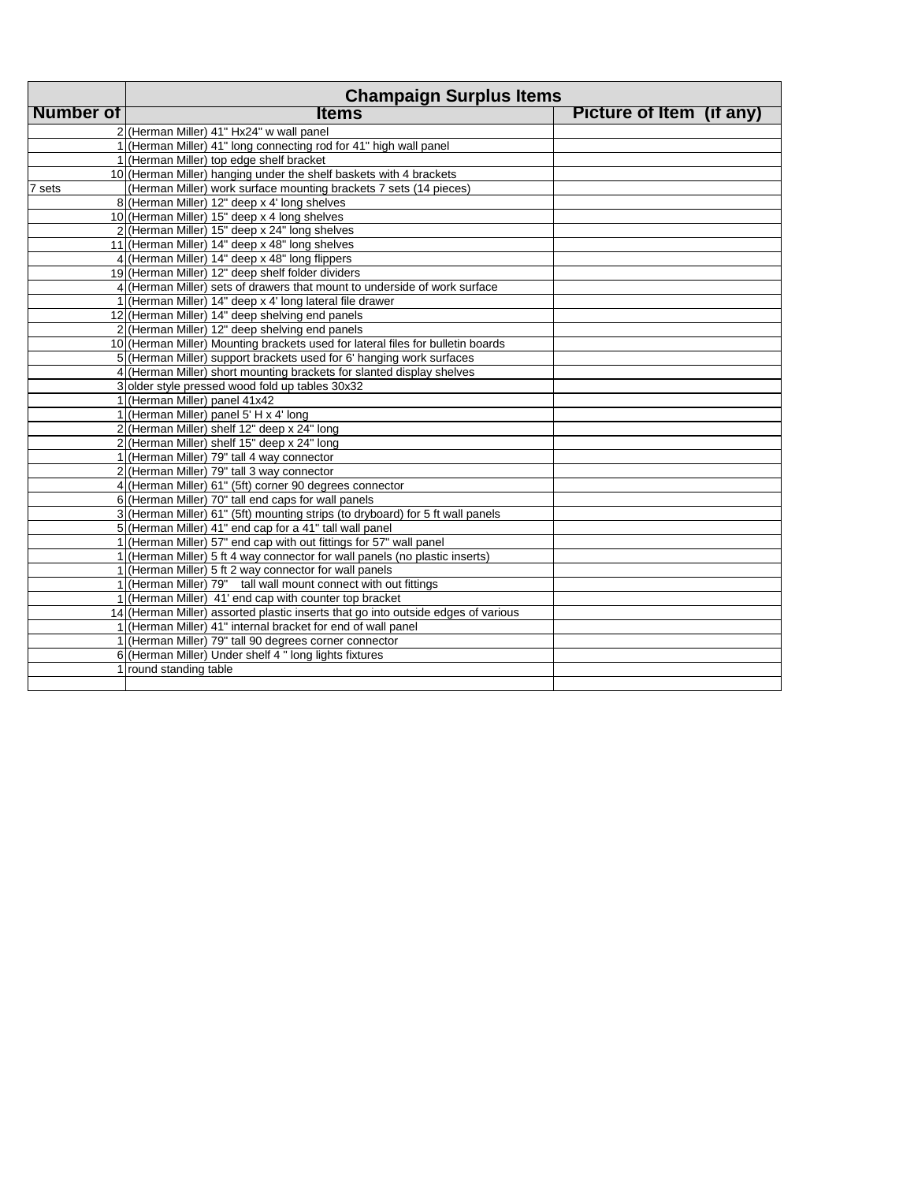|                  | <b>Champaign Surplus Items</b>                                                    |                          |  |
|------------------|-----------------------------------------------------------------------------------|--------------------------|--|
| <b>Number of</b> | <b>Items</b>                                                                      | Picture of Item (if any) |  |
|                  | 2 (Herman Miller) 41" Hx24" w wall panel                                          |                          |  |
|                  | 1 (Herman Miller) 41" long connecting rod for 41" high wall panel                 |                          |  |
|                  | 1 (Herman Miller) top edge shelf bracket                                          |                          |  |
|                  | 10 (Herman Miller) hanging under the shelf baskets with 4 brackets                |                          |  |
| 7 sets           | (Herman Miller) work surface mounting brackets 7 sets (14 pieces)                 |                          |  |
|                  | 8 (Herman Miller) 12" deep x 4' long shelves                                      |                          |  |
|                  | 10 (Herman Miller) 15" deep x 4 long shelves                                      |                          |  |
|                  | 2 (Herman Miller) 15" deep x 24" long shelves                                     |                          |  |
|                  | 11 (Herman Miller) 14" deep x 48" long shelves                                    |                          |  |
|                  | 4 (Herman Miller) 14" deep x 48" long flippers                                    |                          |  |
|                  | 19 (Herman Miller) 12" deep shelf folder dividers                                 |                          |  |
|                  | 4 (Herman Miller) sets of drawers that mount to underside of work surface         |                          |  |
|                  | 1 (Herman Miller) 14" deep x 4' long lateral file drawer                          |                          |  |
|                  | 12 (Herman Miller) 14" deep shelving end panels                                   |                          |  |
|                  | 2 (Herman Miller) 12" deep shelving end panels                                    |                          |  |
|                  | 10 (Herman Miller) Mounting brackets used for lateral files for bulletin boards   |                          |  |
|                  | 5 (Herman Miller) support brackets used for 6' hanging work surfaces              |                          |  |
|                  | 4 (Herman Miller) short mounting brackets for slanted display shelves             |                          |  |
|                  | 3 older style pressed wood fold up tables 30x32                                   |                          |  |
|                  | 1 (Herman Miller) panel 41x42                                                     |                          |  |
|                  | 1 (Herman Miller) panel 5' H x 4' long                                            |                          |  |
|                  | 2 (Herman Miller) shelf 12" deep x 24" long                                       |                          |  |
|                  | 2 (Herman Miller) shelf 15" deep x 24" long                                       |                          |  |
|                  | 1 (Herman Miller) 79" tall 4 way connector                                        |                          |  |
|                  | 2 (Herman Miller) 79" tall 3 way connector                                        |                          |  |
|                  | 4 (Herman Miller) 61" (5ft) corner 90 degrees connector                           |                          |  |
|                  | 6 (Herman Miller) 70" tall end caps for wall panels                               |                          |  |
|                  | 3 (Herman Miller) 61" (5ft) mounting strips (to dryboard) for 5 ft wall panels    |                          |  |
|                  | 5 (Herman Miller) 41" end cap for a 41" tall wall panel                           |                          |  |
|                  | 1 (Herman Miller) 57" end cap with out fittings for 57" wall panel                |                          |  |
|                  | 1 (Herman Miller) 5 ft 4 way connector for wall panels (no plastic inserts)       |                          |  |
|                  | 1 (Herman Miller) 5 ft 2 way connector for wall panels                            |                          |  |
|                  | 1 (Herman Miller) 79" tall wall mount connect with out fittings                   |                          |  |
|                  | 1 (Herman Miller) 41' end cap with counter top bracket                            |                          |  |
|                  | 14 (Herman Miller) assorted plastic inserts that go into outside edges of various |                          |  |
|                  | 1 (Herman Miller) 41" internal bracket for end of wall panel                      |                          |  |
|                  | 1 (Herman Miller) 79" tall 90 degrees corner connector                            |                          |  |
|                  | 6 (Herman Miller) Under shelf 4 " long lights fixtures                            |                          |  |
|                  | 1 round standing table                                                            |                          |  |
|                  |                                                                                   |                          |  |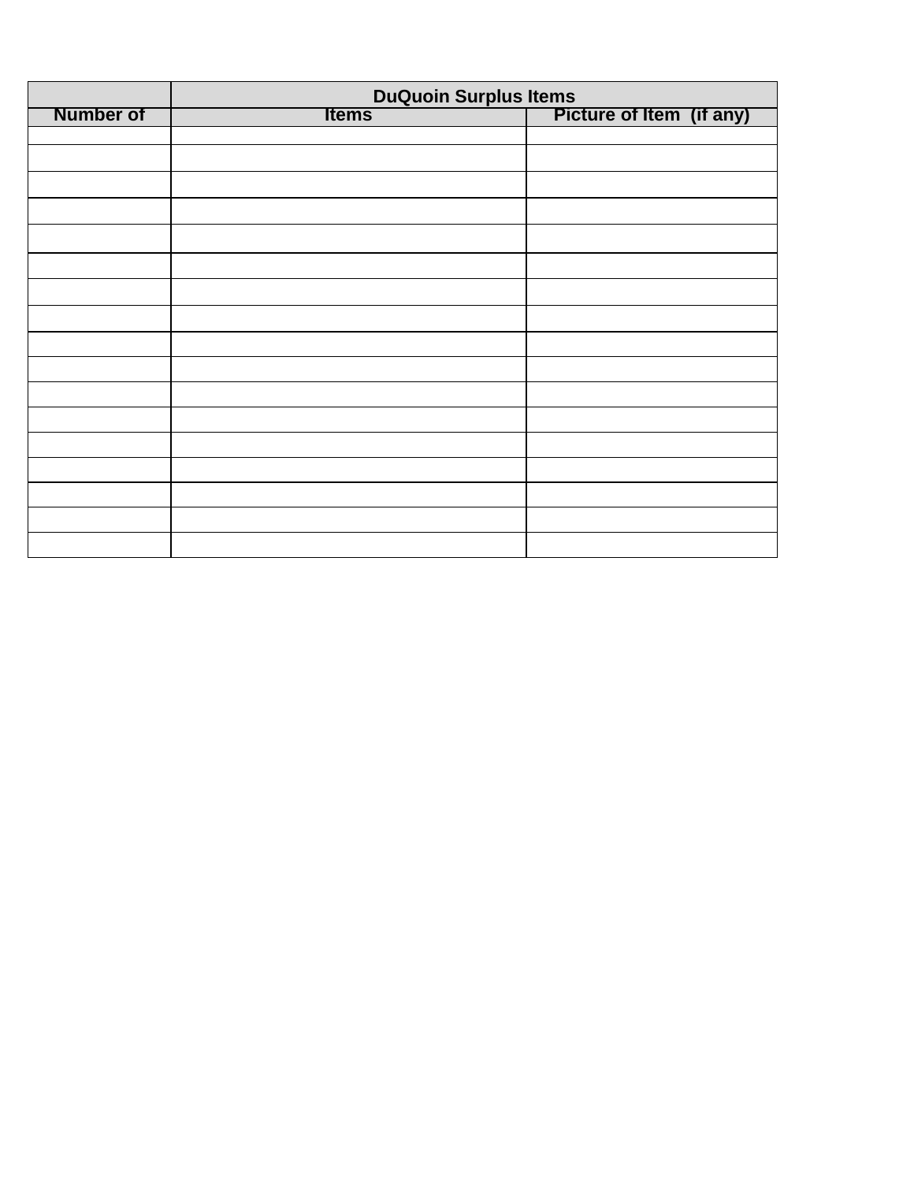|                  | DuQuoin Surplus Items<br>Picture of Item (if any) |  |  |
|------------------|---------------------------------------------------|--|--|
| <b>Number of</b> | <b>Items</b>                                      |  |  |
|                  |                                                   |  |  |
|                  |                                                   |  |  |
|                  |                                                   |  |  |
|                  |                                                   |  |  |
|                  |                                                   |  |  |
|                  |                                                   |  |  |
|                  |                                                   |  |  |
|                  |                                                   |  |  |
|                  |                                                   |  |  |
|                  |                                                   |  |  |
|                  |                                                   |  |  |
|                  |                                                   |  |  |
|                  |                                                   |  |  |
|                  |                                                   |  |  |
|                  |                                                   |  |  |
|                  |                                                   |  |  |
|                  |                                                   |  |  |